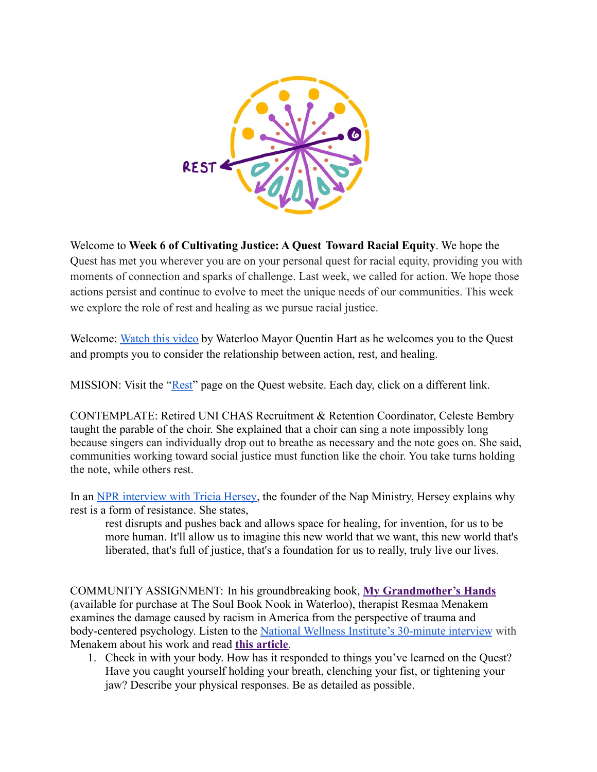

Welcome to **Week 6 of Cultivating Justice: A Quest Toward Racial Equity**. We hope the Quest has met you wherever you are on your personal quest for racial equity, providing you with moments of connection and sparks of challenge. Last week, we called for action. We hope those actions persist and continue to evolve to meet the unique needs of our communities. This week we explore the role of rest and healing as we pursue racial justice.

Welcome: [Watch this video](https://youtu.be/bA69ymfIzpQ) by Waterloo Mayor Quentin Hart as he welcomes you to the Quest and prompts you to consider the relationship between action, rest, and healing.

MISSION: Visit the ["Rest"](https://quest.uni.edu/rest) page on the Quest website. Each day, click on a different link.

CONTEMPLATE: Retired UNI CHAS Recruitment & Retention Coordinator, Celeste Bembry taught the parable of the choir. She explained that a choir can sing a note impossibly long because singers can individually drop out to breathe as necessary and the note goes on. She said, communities working toward social justice must function like the choir. You take turns holding the note, while others rest.

In an [NPR interview with](https://www.npr.org/2020/06/04/869952476/atlanta-based-organization-advocates-for-rest-as-a-form-of-social-justice) Tricia Hersey, the founder of the Nap Ministry, Hersey explains why rest is a form of resistance. She states,

rest disrupts and pushes back and allows space for healing, for invention, for us to be more human. It'll allow us to imagine this new world that we want, this new world that's liberated, that's full of justice, that's a foundation for us to really, truly live our lives.

COMMUNITY ASSIGNMENT: In his groundbreaking book, **[My Grandmother's Hands](https://www.soulbooknook.com/product/grandmashands/280?cp=true&sa=false&sbp=false&q=true)** (available for purchase at The Soul Book Nook in Waterloo), therapist Resmaa Menakem examines the damage caused by racism in America from the perspective of trauma and body-centered psychology. Listen to the National Wellness [Institute's 30-minute interview](https://youtu.be/K7NHLIp7D3I) with Menakem about his work and read **[this article](https://www.minnpost.com/community-sketchbook/2019/06/therapist-expands-book-on-racialized-trauma-to-video-e-course/)**.

1. Check in with your body. How has it responded to things you've learned on the Quest? Have you caught yourself holding your breath, clenching your fist, or tightening your jaw? Describe your physical responses. Be as detailed as possible.